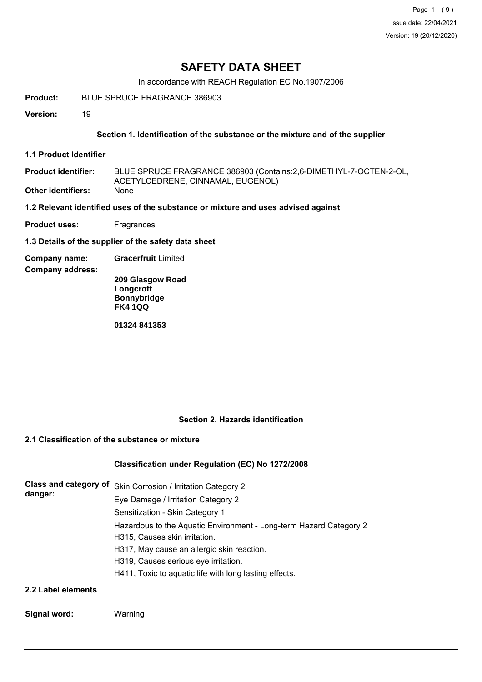## **SAFETY DATA SHEET**

In accordance with REACH Regulation EC No.1907/2006

**Product:** BLUE SPRUCE FRAGRANCE 386903

**Version:** 19

#### **Section 1. Identification of the substance or the mixture and of the supplier**

**1.1 Product Identifier**

BLUE SPRUCE FRAGRANCE 386903 (Contains:2,6-DIMETHYL-7-OCTEN-2-OL, ACETYLCEDRENE, CINNAMAL, EUGENOL) **Product identifier: Other identifiers:** None

**1.2 Relevant identified uses of the substance or mixture and uses advised against**

**Product uses:** Fragrances

**1.3 Details of the supplier of the safety data sheet**

**Company name: Gracerfruit** Limited

**Company address:**

**209 Glasgow Road Longcroft Bonnybridge FK4 1QQ**

**01324 841353**

#### **Section 2. Hazards identification**

## **2.1 Classification of the substance or mixture**

#### **Classification under Regulation (EC) No 1272/2008**

| Class and category of<br>danger: | Skin Corrosion / Irritation Category 2                             |  |  |  |  |
|----------------------------------|--------------------------------------------------------------------|--|--|--|--|
|                                  | Eye Damage / Irritation Category 2                                 |  |  |  |  |
|                                  | Sensitization - Skin Category 1                                    |  |  |  |  |
|                                  | Hazardous to the Aquatic Environment - Long-term Hazard Category 2 |  |  |  |  |
|                                  | H315, Causes skin irritation.                                      |  |  |  |  |
|                                  | H317, May cause an allergic skin reaction.                         |  |  |  |  |
|                                  | H319, Causes serious eye irritation.                               |  |  |  |  |
|                                  | H411, Toxic to aquatic life with long lasting effects.             |  |  |  |  |
| 2.2 Label elements               |                                                                    |  |  |  |  |

#### **Signal word:** Warning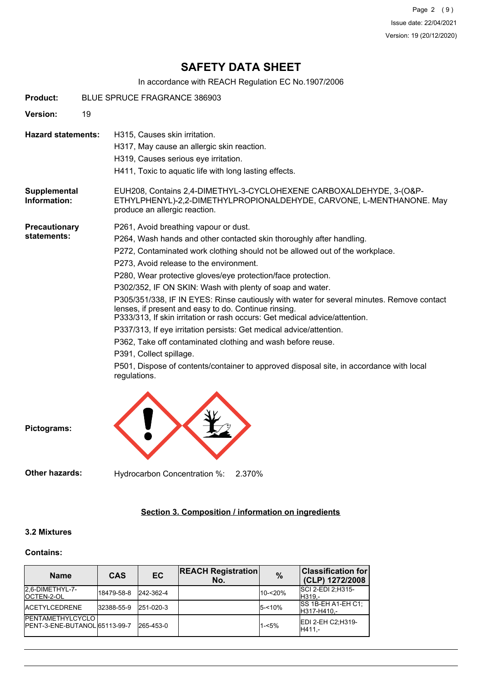Page 2 (9) Issue date: 22/04/2021 Version: 19 (20/12/2020)

## **SAFETY DATA SHEET**

In accordance with REACH Regulation EC No.1907/2006

| <b>Product:</b>                     | BLUE SPRUCE FRAGRANCE 386903 |                                                                                                                                                                                                                                                                                                                                                                                                                                                                                                                                                                                                                                                                                                                                                                                                                                                                                      |  |  |  |  |  |  |
|-------------------------------------|------------------------------|--------------------------------------------------------------------------------------------------------------------------------------------------------------------------------------------------------------------------------------------------------------------------------------------------------------------------------------------------------------------------------------------------------------------------------------------------------------------------------------------------------------------------------------------------------------------------------------------------------------------------------------------------------------------------------------------------------------------------------------------------------------------------------------------------------------------------------------------------------------------------------------|--|--|--|--|--|--|
| Version:                            | 19                           |                                                                                                                                                                                                                                                                                                                                                                                                                                                                                                                                                                                                                                                                                                                                                                                                                                                                                      |  |  |  |  |  |  |
| <b>Hazard statements:</b>           |                              | H315, Causes skin irritation.<br>H317, May cause an allergic skin reaction.<br>H319, Causes serious eye irritation.<br>H411, Toxic to aquatic life with long lasting effects.                                                                                                                                                                                                                                                                                                                                                                                                                                                                                                                                                                                                                                                                                                        |  |  |  |  |  |  |
| Supplemental<br>Information:        |                              | EUH208, Contains 2,4-DIMETHYL-3-CYCLOHEXENE CARBOXALDEHYDE, 3-(O&P-<br>ETHYLPHENYL)-2,2-DIMETHYLPROPIONALDEHYDE, CARVONE, L-MENTHANONE. May<br>produce an allergic reaction.                                                                                                                                                                                                                                                                                                                                                                                                                                                                                                                                                                                                                                                                                                         |  |  |  |  |  |  |
| <b>Precautionary</b><br>statements: |                              | P261, Avoid breathing vapour or dust.<br>P264, Wash hands and other contacted skin thoroughly after handling.<br>P272, Contaminated work clothing should not be allowed out of the workplace.<br>P273, Avoid release to the environment.<br>P280, Wear protective gloves/eye protection/face protection.<br>P302/352, IF ON SKIN: Wash with plenty of soap and water.<br>P305/351/338, IF IN EYES: Rinse cautiously with water for several minutes. Remove contact<br>lenses, if present and easy to do. Continue rinsing.<br>P333/313. If skin irritation or rash occurs: Get medical advice/attention.<br>P337/313, If eye irritation persists: Get medical advice/attention.<br>P362, Take off contaminated clothing and wash before reuse.<br>P391, Collect spillage.<br>P501, Dispose of contents/container to approved disposal site, in accordance with local<br>regulations. |  |  |  |  |  |  |



**Pictograms:**

**Other hazards:** Hydrocarbon Concentration %: 2.370%

## **Section 3. Composition / information on ingredients**

#### **3.2 Mixtures**

#### **Contains:**

| <b>Name</b>                                               | <b>CAS</b> | <b>EC</b>     | <b>REACH Registration</b><br>No. | $\%$      | <b>Classification for</b><br>(CLP) 1272/2008 |
|-----------------------------------------------------------|------------|---------------|----------------------------------|-----------|----------------------------------------------|
| I2.6-DIMETHYL-7-<br><b>IOCTEN-2-OL</b>                    | 18479-58-8 | 242-362-4     |                                  | 10-<20%   | <b>SCI 2-EDI 2:H315-</b><br>H319.-           |
| <b>IACETYLCEDRENE</b>                                     | 32388-55-9 | $ 251-020-3 $ |                                  | $5 - 10%$ | SS 1B-EH A1-EH C1;<br>H317-H410,-            |
| <b>PENTAMETHYLCYCLO</b><br>IPENT-3-ENE-BUTANOL 65113-99-7 |            | 265-453-0     |                                  | $1 - 5%$  | <b>IEDI 2-EH C2:H319-</b><br>H411.-          |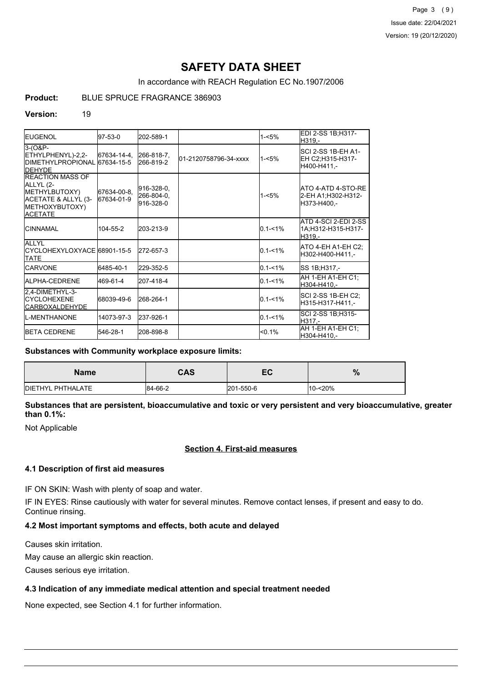Page 3 (9) Issue date: 22/04/2021 Version: 19 (20/12/2020)

## **SAFETY DATA SHEET**

In accordance with REACH Regulation EC No.1907/2006

## **Product:** BLUE SPRUCE FRAGRANCE 386903

#### **Version:** 19

| <b>IEUGENOL</b>                                                                                                   | $97-53-0$                 | 202-589-1                             |                       | $1 - 5%$    | EDI 2-SS 1B;H317-<br>H319.-                             |
|-------------------------------------------------------------------------------------------------------------------|---------------------------|---------------------------------------|-----------------------|-------------|---------------------------------------------------------|
| $3-(08P -$<br>ETHYLPHENYL)-2,2-<br>DIMETHYLPROPIONAL 67634-15-5<br><b>IDEHYDE</b>                                 | 67634-14-4.               | 266-818-7,<br>266-819-2               | 01-2120758796-34-xxxx | $1 - 5%$    | ISCI 2-SS 1B-EH A1-<br>EH C2;H315-H317-<br>H400-H411.-  |
| <b>IREACTION MASS OF</b><br>ALLYL (2-<br>METHYLBUTOXY)<br>ACETATE & ALLYL (3-<br>METHOXYBUTOXY)<br><b>ACETATE</b> | 67634-00-8,<br>67634-01-9 | 916-328-0,<br>266-804-0,<br>916-328-0 |                       | $1 - 5%$    | ATO 4-ATD 4-STO-RE<br>2-EH A1;H302-H312-<br>H373-H400.- |
| <b>ICINNAMAL</b>                                                                                                  | 104-55-2                  | 203-213-9                             |                       | $0.1 - 1\%$ | ATD 4-SCI 2-EDI 2-SS<br>1A;H312-H315-H317-<br>H319.-    |
| <b>ALLYL</b><br>ICYCLOHEXYLOXYACE 68901-15-5<br><b>TATE</b>                                                       |                           | 272-657-3                             |                       | $0.1 - 1\%$ | ATO 4-EH A1-EH C2:<br>H302-H400-H411.-                  |
| <b>ICARVONE</b>                                                                                                   | 6485-40-1                 | 229-352-5                             |                       | $0.1 - 1%$  | SS 1B;H317,-                                            |
| <b>JALPHA-CEDRENE</b>                                                                                             | 469-61-4                  | 207-418-4                             |                       | $0.1 - 1%$  | AH 1-EH A1-EH C1:<br>H304-H410.-                        |
| 2,4-DIMETHYL-3-<br><b>ICYCLOHEXENE</b><br><b>CARBOXALDEHYDE</b>                                                   | 68039-49-6                | 268-264-1                             |                       | $0.1 - 1%$  | SCI 2-SS 1B-EH C2;<br>H315-H317-H411.-                  |
| <b>IL-MENTHANONE</b>                                                                                              | 14073-97-3                | 237-926-1                             |                       | $0.1 - 1\%$ | SCI 2-SS 1B:H315-<br>H317.-                             |
| <b>IBETA CEDRENE</b>                                                                                              | 546-28-1                  | 208-898-8                             |                       | < 0.1%      | AH 1-EH A1-EH C1;<br>H304-H410.-                        |

#### **Substances with Community workplace exposure limits:**

| <b>Name</b>               | <b>CAS</b> | -0<br>ᇊ   | $\mathbf{0}$<br>70 |
|---------------------------|------------|-----------|--------------------|
| <b>IDIETHYL PHTHALATE</b> | 84-66-2    | 201-550-6 | $10 - 20%$         |

**Substances that are persistent, bioaccumulative and toxic or very persistent and very bioaccumulative, greater than 0.1%:**

Not Applicable

### **Section 4. First-aid measures**

#### **4.1 Description of first aid measures**

IF ON SKIN: Wash with plenty of soap and water.

IF IN EYES: Rinse cautiously with water for several minutes. Remove contact lenses, if present and easy to do. Continue rinsing.

#### **4.2 Most important symptoms and effects, both acute and delayed**

Causes skin irritation.

May cause an allergic skin reaction.

Causes serious eye irritation.

#### **4.3 Indication of any immediate medical attention and special treatment needed**

None expected, see Section 4.1 for further information.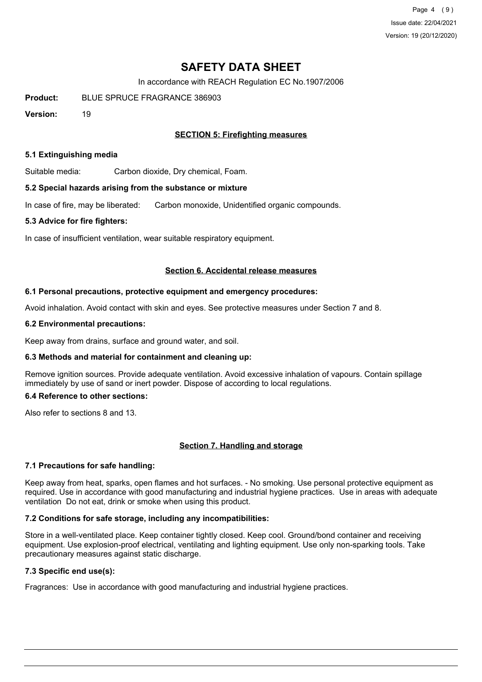Page 4 (9) Issue date: 22/04/2021 Version: 19 (20/12/2020)

## **SAFETY DATA SHEET**

In accordance with REACH Regulation EC No.1907/2006

**Product:** BLUE SPRUCE FRAGRANCE 386903

**Version:** 19

### **SECTION 5: Firefighting measures**

#### **5.1 Extinguishing media**

Suitable media: Carbon dioxide, Dry chemical, Foam.

#### **5.2 Special hazards arising from the substance or mixture**

In case of fire, may be liberated: Carbon monoxide, Unidentified organic compounds.

#### **5.3 Advice for fire fighters:**

In case of insufficient ventilation, wear suitable respiratory equipment.

#### **Section 6. Accidental release measures**

#### **6.1 Personal precautions, protective equipment and emergency procedures:**

Avoid inhalation. Avoid contact with skin and eyes. See protective measures under Section 7 and 8.

#### **6.2 Environmental precautions:**

Keep away from drains, surface and ground water, and soil.

#### **6.3 Methods and material for containment and cleaning up:**

Remove ignition sources. Provide adequate ventilation. Avoid excessive inhalation of vapours. Contain spillage immediately by use of sand or inert powder. Dispose of according to local regulations.

#### **6.4 Reference to other sections:**

Also refer to sections 8 and 13.

#### **Section 7. Handling and storage**

#### **7.1 Precautions for safe handling:**

Keep away from heat, sparks, open flames and hot surfaces. - No smoking. Use personal protective equipment as required. Use in accordance with good manufacturing and industrial hygiene practices. Use in areas with adequate ventilation Do not eat, drink or smoke when using this product.

#### **7.2 Conditions for safe storage, including any incompatibilities:**

Store in a well-ventilated place. Keep container tightly closed. Keep cool. Ground/bond container and receiving equipment. Use explosion-proof electrical, ventilating and lighting equipment. Use only non-sparking tools. Take precautionary measures against static discharge.

## **7.3 Specific end use(s):**

Fragrances: Use in accordance with good manufacturing and industrial hygiene practices.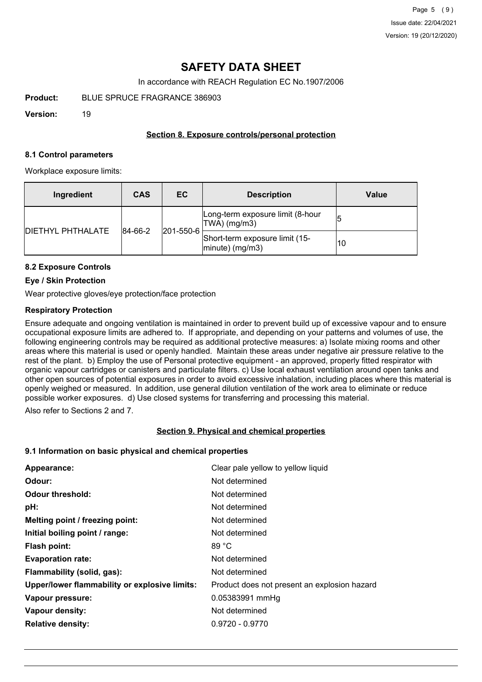## **SAFETY DATA SHEET**

In accordance with REACH Regulation EC No.1907/2006

**Product:** BLUE SPRUCE FRAGRANCE 386903

**Version:** 19

### **Section 8. Exposure controls/personal protection**

#### **8.1 Control parameters**

Workplace exposure limits:

| Ingredient               | <b>CAS</b> | EC.                              | <b>Description</b>                                       | Value |
|--------------------------|------------|----------------------------------|----------------------------------------------------------|-------|
| <b>DIETHYL PHTHALATE</b> |            | $ 201 - 550 - 6 $<br>$ 84-66-2 $ | Long-term exposure limit (8-hour<br>TWA) (mg/m3)         |       |
|                          |            |                                  | Short-term exposure limit (15-<br>$ $ minute $ $ (mg/m3) | 10    |

### **8.2 Exposure Controls**

#### **Eye / Skin Protection**

Wear protective gloves/eye protection/face protection

#### **Respiratory Protection**

Ensure adequate and ongoing ventilation is maintained in order to prevent build up of excessive vapour and to ensure occupational exposure limits are adhered to. If appropriate, and depending on your patterns and volumes of use, the following engineering controls may be required as additional protective measures: a) Isolate mixing rooms and other areas where this material is used or openly handled. Maintain these areas under negative air pressure relative to the rest of the plant. b) Employ the use of Personal protective equipment - an approved, properly fitted respirator with organic vapour cartridges or canisters and particulate filters. c) Use local exhaust ventilation around open tanks and other open sources of potential exposures in order to avoid excessive inhalation, including places where this material is openly weighed or measured. In addition, use general dilution ventilation of the work area to eliminate or reduce possible worker exposures. d) Use closed systems for transferring and processing this material.

Also refer to Sections 2 and 7.

#### **Section 9. Physical and chemical properties**

#### **9.1 Information on basic physical and chemical properties**

| Appearance:                                   | Clear pale yellow to yellow liquid           |
|-----------------------------------------------|----------------------------------------------|
| Odour:                                        | Not determined                               |
| <b>Odour threshold:</b>                       | Not determined                               |
| pH:                                           | Not determined                               |
| Melting point / freezing point:               | Not determined                               |
| Initial boiling point / range:                | Not determined                               |
| Flash point:                                  | 89 °C                                        |
| <b>Evaporation rate:</b>                      | Not determined                               |
| Flammability (solid, gas):                    | Not determined                               |
| Upper/lower flammability or explosive limits: | Product does not present an explosion hazard |
| Vapour pressure:                              | 0.05383991 mmHg                              |
| Vapour density:                               | Not determined                               |
| <b>Relative density:</b>                      | $0.9720 - 0.9770$                            |
|                                               |                                              |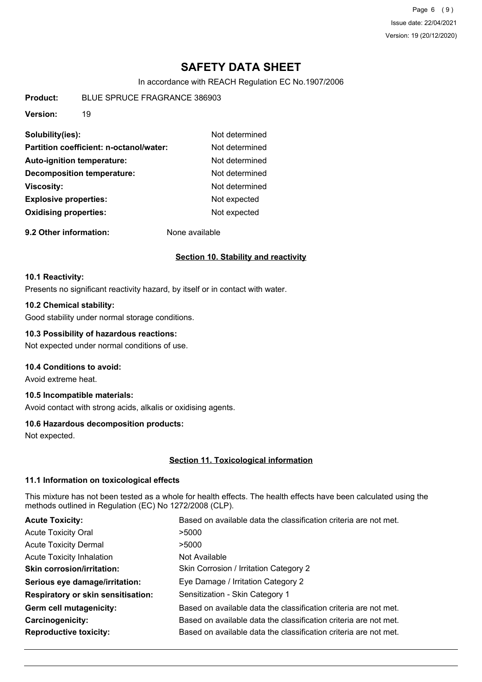Page 6 (9) Issue date: 22/04/2021 Version: 19 (20/12/2020)

## **SAFETY DATA SHEET**

In accordance with REACH Regulation EC No.1907/2006

**Product:** BLUE SPRUCE FRAGRANCE 386903

**Version:** 19

| Solubility(ies):                        | Not determined |
|-----------------------------------------|----------------|
| Partition coefficient: n-octanol/water: | Not determined |
| <b>Auto-ignition temperature:</b>       | Not determined |
| <b>Decomposition temperature:</b>       | Not determined |
| <b>Viscosity:</b>                       | Not determined |
| <b>Explosive properties:</b>            | Not expected   |
| <b>Oxidising properties:</b>            | Not expected   |
|                                         |                |

**9.2 Other information:** None available

### **Section 10. Stability and reactivity**

#### **10.1 Reactivity:**

Presents no significant reactivity hazard, by itself or in contact with water.

#### **10.2 Chemical stability:**

Good stability under normal storage conditions.

#### **10.3 Possibility of hazardous reactions:**

Not expected under normal conditions of use.

### **10.4 Conditions to avoid:**

Avoid extreme heat.

## **10.5 Incompatible materials:**

Avoid contact with strong acids, alkalis or oxidising agents.

#### **10.6 Hazardous decomposition products:**

Not expected.

#### **Section 11. Toxicological information**

#### **11.1 Information on toxicological effects**

This mixture has not been tested as a whole for health effects. The health effects have been calculated using the methods outlined in Regulation (EC) No 1272/2008 (CLP).

| <b>Acute Toxicity:</b>                    | Based on available data the classification criteria are not met. |
|-------------------------------------------|------------------------------------------------------------------|
| <b>Acute Toxicity Oral</b>                | >5000                                                            |
| <b>Acute Toxicity Dermal</b>              | >5000                                                            |
| <b>Acute Toxicity Inhalation</b>          | Not Available                                                    |
| <b>Skin corrosion/irritation:</b>         | Skin Corrosion / Irritation Category 2                           |
| Serious eye damage/irritation:            | Eye Damage / Irritation Category 2                               |
| <b>Respiratory or skin sensitisation:</b> | Sensitization - Skin Category 1                                  |
| Germ cell mutagenicity:                   | Based on available data the classification criteria are not met. |
| Carcinogenicity:                          | Based on available data the classification criteria are not met. |
| <b>Reproductive toxicity:</b>             | Based on available data the classification criteria are not met. |
|                                           |                                                                  |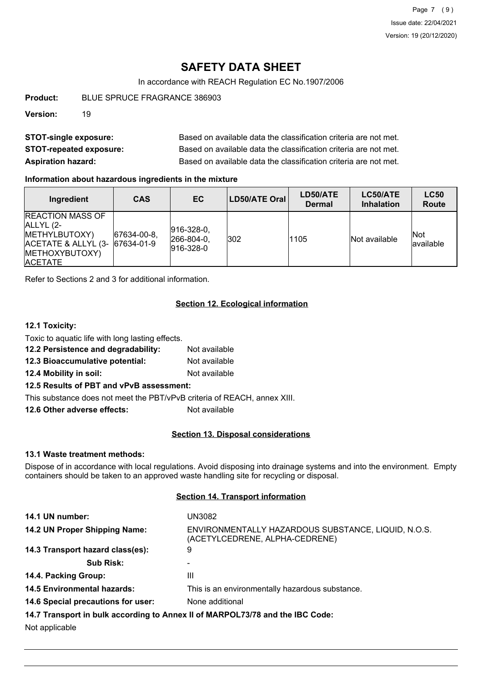Page 7 (9) Issue date: 22/04/2021 Version: 19 (20/12/2020)

## **SAFETY DATA SHEET**

In accordance with REACH Regulation EC No.1907/2006

**Product:** BLUE SPRUCE FRAGRANCE 386903

**Version:** 19

| <b>STOT-single exposure:</b>   | Based on available data the classification criteria are not met. |
|--------------------------------|------------------------------------------------------------------|
| <b>STOT-repeated exposure:</b> | Based on available data the classification criteria are not met. |
| <b>Aspiration hazard:</b>      | Based on available data the classification criteria are not met. |

#### **Information about hazardous ingredients in the mixture**

| Ingredient                                                                                                                   | <b>CAS</b>     | EC                                                  | LD50/ATE Oral | LD50/ATE<br><b>Dermal</b> | LC50/ATE<br><b>Inhalation</b> | <b>LC50</b><br><b>Route</b> |
|------------------------------------------------------------------------------------------------------------------------------|----------------|-----------------------------------------------------|---------------|---------------------------|-------------------------------|-----------------------------|
| <b>IREACTION MASS OF</b><br>ALLYL (2-<br>METHYLBUTOXY)<br>ACETATE & ALLYL (3- 67634-01-9<br>METHOXYBUTOXY)<br><b>ACETATE</b> | $ 67634-00-8 $ | $ 916 - 328 - 0 $<br>$ 266 - 804 - 0,$<br>916-328-0 | 302           | 1105                      | Not available                 | Not<br>lavailable           |

Refer to Sections 2 and 3 for additional information.

## **Section 12. Ecological information**

### **12.1 Toxicity:**

| Toxic to aquatic life with long lasting effects. |               |
|--------------------------------------------------|---------------|
| 12.2 Persistence and degradability:              | Not available |

- **12.3 Bioaccumulative potential:** Not available
- **12.4 Mobility in soil:** Not available
- **12.5 Results of PBT and vPvB assessment:**

This substance does not meet the PBT/vPvB criteria of REACH, annex XIII.

**12.6 Other adverse effects:** Not available

#### **Section 13. Disposal considerations**

#### **13.1 Waste treatment methods:**

Dispose of in accordance with local regulations. Avoid disposing into drainage systems and into the environment. Empty containers should be taken to an approved waste handling site for recycling or disposal.

#### **Section 14. Transport information**

| 14.1 UN number:                    | UN3082                                                                                |
|------------------------------------|---------------------------------------------------------------------------------------|
| 14.2 UN Proper Shipping Name:      | ENVIRONMENTALLY HAZARDOUS SUBSTANCE, LIQUID, N.O.S.<br>(ACETYLCEDRENE, ALPHA-CEDRENE) |
| 14.3 Transport hazard class(es):   | 9                                                                                     |
| <b>Sub Risk:</b>                   |                                                                                       |
| 14.4. Packing Group:               | Ш                                                                                     |
| <b>14.5 Environmental hazards:</b> | This is an environmentally hazardous substance.                                       |
| 14.6 Special precautions for user: | None additional                                                                       |
|                                    | 14.7 Transport in bulk according to Annex II of MARPOL73/78 and the IBC Code:         |
| Not applicable                     |                                                                                       |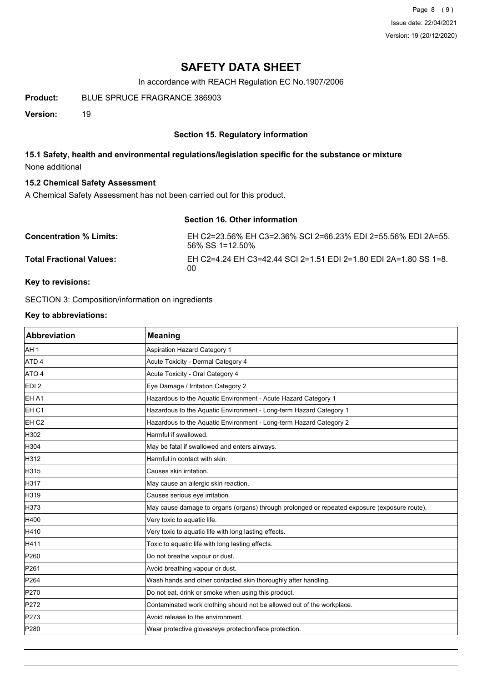Page 8 (9) Issue date: 22/04/2021 Version: 19 (20/12/2020)

## **SAFETY DATA SHEET**

In accordance with REACH Regulation EC No.1907/2006

**Product:** BLUE SPRUCE FRAGRANCE 386903

**Version:** 19

## **Section 15. Regulatory information**

## **15.1 Safety, health and environmental regulations/legislation specific for the substance or mixture** None additional

#### **15.2 Chemical Safety Assessment**

A Chemical Safety Assessment has not been carried out for this product.

# **Section 16. Other information**

| <b>Concentration % Limits:</b>  | EH C2=23.56% EH C3=2.36% SCI 2=66.23% EDI 2=55.56% EDI 2A=55.<br>56% SS 1=12.50% |
|---------------------------------|----------------------------------------------------------------------------------|
| <b>Total Fractional Values:</b> | EH C2=4.24 EH C3=42.44 SCI 2=1.51 EDI 2=1.80 EDI 2A=1.80 SS 1=8.<br>00           |

## **Key to revisions:**

SECTION 3: Composition/information on ingredients

## **Key to abbreviations:**

| <b>Abbreviation</b> | <b>Meaning</b>                                                                               |
|---------------------|----------------------------------------------------------------------------------------------|
| AH <sub>1</sub>     | <b>Aspiration Hazard Category 1</b>                                                          |
| ATD <sub>4</sub>    | Acute Toxicity - Dermal Category 4                                                           |
| ATO 4               | Acute Toxicity - Oral Category 4                                                             |
| EDI <sub>2</sub>    | Eye Damage / Irritation Category 2                                                           |
| EH A1               | Hazardous to the Aquatic Environment - Acute Hazard Category 1                               |
| EH <sub>C1</sub>    | Hazardous to the Aquatic Environment - Long-term Hazard Category 1                           |
| EH <sub>C2</sub>    | Hazardous to the Aquatic Environment - Long-term Hazard Category 2                           |
| H302                | Harmful if swallowed.                                                                        |
| H304                | May be fatal if swallowed and enters airways.                                                |
| H312                | Harmful in contact with skin.                                                                |
| H315                | Causes skin irritation.                                                                      |
| H317                | May cause an allergic skin reaction.                                                         |
| H319                | Causes serious eye irritation.                                                               |
| H373                | May cause damage to organs (organs) through prolonged or repeated exposure (exposure route). |
| H400                | Very toxic to aquatic life.                                                                  |
| H410                | Very toxic to aquatic life with long lasting effects.                                        |
| H411                | Toxic to aquatic life with long lasting effects.                                             |
| P260                | Do not breathe vapour or dust.                                                               |
| P261                | Avoid breathing vapour or dust.                                                              |
| P <sub>264</sub>    | Wash hands and other contacted skin thoroughly after handling.                               |
| P270                | Do not eat, drink or smoke when using this product.                                          |
| P272                | Contaminated work clothing should not be allowed out of the workplace.                       |
| P273                | Avoid release to the environment.                                                            |
| P280                | Wear protective gloves/eye protection/face protection.                                       |